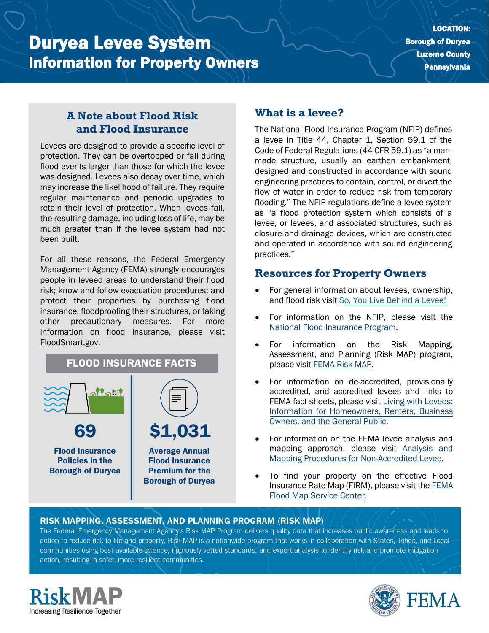# Duryea Levee System Information for Property Owners

#### **A Note about Flood Risk and Flood Insurance**

Levees are designed to provide a specific level of protection. They can be overtopped or fail during flood events larger than those for which the levee was designed. Levees also decay over time, which may increase the likelihood of failure. They require regular maintenance and periodic upgrades to retain their level of protection. When levees fail, the resulting damage, including loss of life, may be much greater than if the levee system had not been built.

For all these reasons, the Federal Emergency Management Agency (FEMA) strongly encourages people in leveed areas to understand their flood risk; know and follow evacuation procedures; and protect their properties by purchasing flood insurance, floodproofing their structures, or taking other precautionary measures. For more information on flood insurance, please visit [FloodSmart.gov.](https://www.floodsmart.gov/)



### **What is a levee?**

The National Flood Insurance Program (NFIP) defines a levee in Title 44, Chapter 1, Section 59.1 of the Code of Federal Regulations (44 CFR 59.1) as "a manmade structure, usually an earthen embankment, designed and constructed in accordance with sound engineering practices to contain, control, or divert the flow of water in order to reduce risk from temporary flooding." The NFIP regulations define a levee system as "a flood protection system which consists of a levee, or levees, and associated structures, such as closure and drainage devices, which are constructed and operated in accordance with sound engineering practices."

#### **Resources for Property Owners**

- For general information about levees, ownership, and flood risk visit [So, You Live Behind a Levee!](https://ascelibrary.org/doi/book/10.1061/9780784410837)
- For information on the NFIP, please visit th[e](https://www.fema.gov/national-flood-insurance-program) [National Flood Insurance Program.](https://www.fema.gov/national-flood-insurance-program)
- For information on the Risk Mapping, Assessment, and Planning (Risk MAP) program, please visit [FEMA Risk MAP.](https://www.fema.gov/flood-maps/tools-resources/risk-map)
- For information on de-accredited, provisionally accredited, and accredited levees and links to FEMA fact sheets, please visit [Living with Levees:](https://www.fema.gov/flood-maps/living-levees) [Information for Homeowners, Renters, Business](https://www.fema.gov/flood-maps/living-levees) [Owners, and the General Public.](https://www.fema.gov/flood-maps/living-levees)
- For information on the FEMA levee analysis and mapping approach, please visit [Analysis and](https://www.fema.gov/media-library-data/20130726-1922-25045-4455/20130703_approachdocument_508.pdf) [Mapping Procedures for Non-Accredited Levee.](https://www.fema.gov/media-library-data/20130726-1922-25045-4455/20130703_approachdocument_508.pdf)
- To find your property on the effective Flood Insurance Rate Map (FIRM), please visit th[e FEMA](https://msc.fema.gov/portal/) [Flood Map Service Center.](https://msc.fema.gov/portal/)

#### RISK MAPPING, ASSESSMENT, AND PLANNING PROGRAM (RISK MAP)

The Federal Emergency Management Agency's Risk MAP Program delivers quality data that increases public awareness and leads to action to reduce risk to life and property. Risk MAP is a nationwide program that works in collaboration with States, Tribes, and Localcommunities using best available science, rigorously vetted standards, and expert analysis to identify risk and promote mitigation action, resulting in safer, more resilient communities.